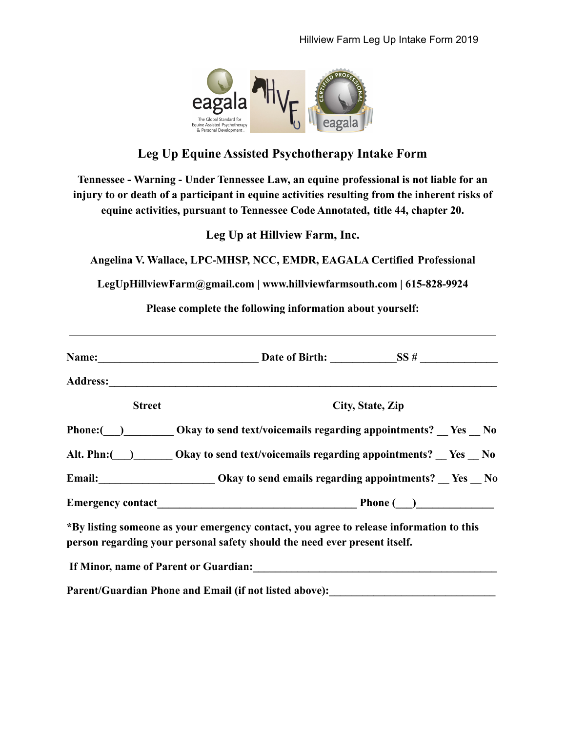

## **Leg Up Equine Assisted Psychotherapy Intake Form**

**Tennessee - Warning - Under Tennessee Law, an equine professional is not liable for an injury to or death of a participant in equine activities resulting from the inherent risks of equine activities, pursuant to Tennessee Code Annotated, title 44, chapter 20.**

**Leg Up at Hillview Farm, Inc.**

**Angelina V. Wallace, LPC-MHSP, NCC, EMDR, EAGALA Certified Professional**

**LegUpHillviewFarm@gmail.com | www.hillviewfarmsouth.com | 615-828-9924**

**Please complete the following information about yourself:**

| <b>Street</b> | City, State, Zip                                                                                                                                                      |
|---------------|-----------------------------------------------------------------------------------------------------------------------------------------------------------------------|
|               | Phone: (a) Okay to send text/voicemails regarding appointments? No No                                                                                                 |
|               | Alt. Phn: ( <u>)</u> Okay to send text/voicemails regarding appointments? Yes No                                                                                      |
|               | Email: Ves No Chapter Okay to send emails regarding appointments? Yes No                                                                                              |
|               |                                                                                                                                                                       |
|               | *By listing someone as your emergency contact, you agree to release information to this<br>person regarding your personal safety should the need ever present itself. |
|               |                                                                                                                                                                       |
|               | Parent/Guardian Phone and Email (if not listed above):                                                                                                                |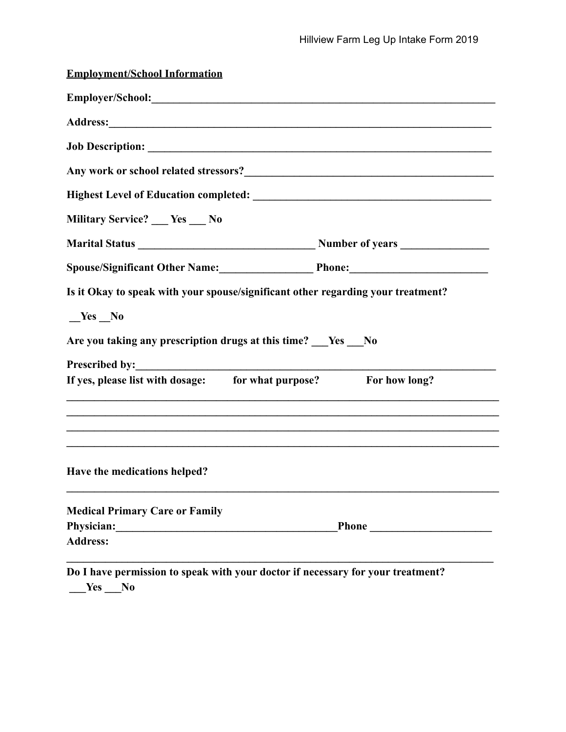| <b>Employment/School Information</b>                                             |                                                                                                                       |
|----------------------------------------------------------------------------------|-----------------------------------------------------------------------------------------------------------------------|
|                                                                                  |                                                                                                                       |
|                                                                                  |                                                                                                                       |
|                                                                                  |                                                                                                                       |
|                                                                                  |                                                                                                                       |
|                                                                                  |                                                                                                                       |
| Military Service? __ Yes __ No                                                   |                                                                                                                       |
|                                                                                  |                                                                                                                       |
|                                                                                  | Spouse/Significant Other Name: Phone: Phone:                                                                          |
| Is it Okay to speak with your spouse/significant other regarding your treatment? |                                                                                                                       |
| $Yes$ No                                                                         |                                                                                                                       |
| Are you taking any prescription drugs at this time?   Yes   No                   |                                                                                                                       |
|                                                                                  |                                                                                                                       |
| If yes, please list with dosage: for what purpose? For how long?                 | <u> 1989 - Johann Stoff, deutscher Stoffen und der Stoffen und der Stoffen und der Stoffen und der Stoffen und de</u> |
|                                                                                  |                                                                                                                       |
| Have the medications helped?                                                     |                                                                                                                       |
| <b>Medical Primary Care or Family</b>                                            |                                                                                                                       |
| Physician:                                                                       | <b>Phone</b>                                                                                                          |
| <b>Address:</b>                                                                  |                                                                                                                       |
| Do I have permission to speak with your doctor if necessary for your treatment?  |                                                                                                                       |

**\_\_\_Yes \_\_\_No**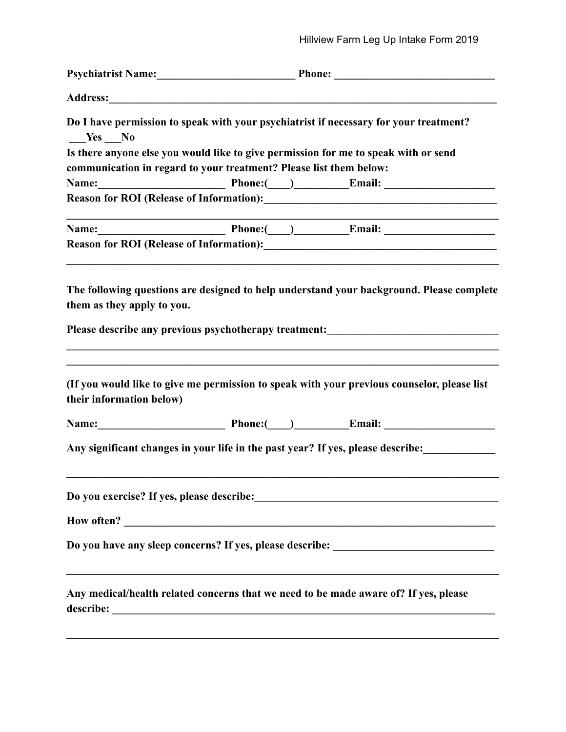| Yes No                                                                                                                                                                                                                                                                                                                                               |
|------------------------------------------------------------------------------------------------------------------------------------------------------------------------------------------------------------------------------------------------------------------------------------------------------------------------------------------------------|
| Do I have permission to speak with your psychiatrist if necessary for your treatment?<br>Is there anyone else you would like to give permission for me to speak with or send                                                                                                                                                                         |
| communication in regard to your treatment? Please list them below:<br>Name: <u>Name: Email:</u> Phone: Phone: Email: Name: Email: Name: Name: Name: Name: Name: Name: Name: Name: Name: Name: Name: Name: Name: Name: Name: Name: Name: Name: Name: Name: Name: Name: Name: Name: Name: Name: Name: Name:<br>Name: <u>Name: Phone: Phone: Email:</u> |
|                                                                                                                                                                                                                                                                                                                                                      |
|                                                                                                                                                                                                                                                                                                                                                      |
|                                                                                                                                                                                                                                                                                                                                                      |
|                                                                                                                                                                                                                                                                                                                                                      |
|                                                                                                                                                                                                                                                                                                                                                      |
|                                                                                                                                                                                                                                                                                                                                                      |
| The following questions are designed to help understand your background. Please complete<br>them as they apply to you.<br>Please describe any previous psychotherapy treatment:<br><u>Please describe any previous psychotherapy treatment:</u>                                                                                                      |
| (If you would like to give me permission to speak with your previous counselor, please list<br>their information below)                                                                                                                                                                                                                              |
| Name: <u>Name: Phone: Phone: Email:</u>                                                                                                                                                                                                                                                                                                              |
| Any significant changes in your life in the past year? If yes, please describe:                                                                                                                                                                                                                                                                      |
|                                                                                                                                                                                                                                                                                                                                                      |
|                                                                                                                                                                                                                                                                                                                                                      |
| Do you have any sleep concerns? If yes, please describe: _______________________                                                                                                                                                                                                                                                                     |
| <u> 1989 - Johann Stoff, amerikansk politiker (d. 1989)</u><br>Any medical/health related concerns that we need to be made aware of? If yes, please                                                                                                                                                                                                  |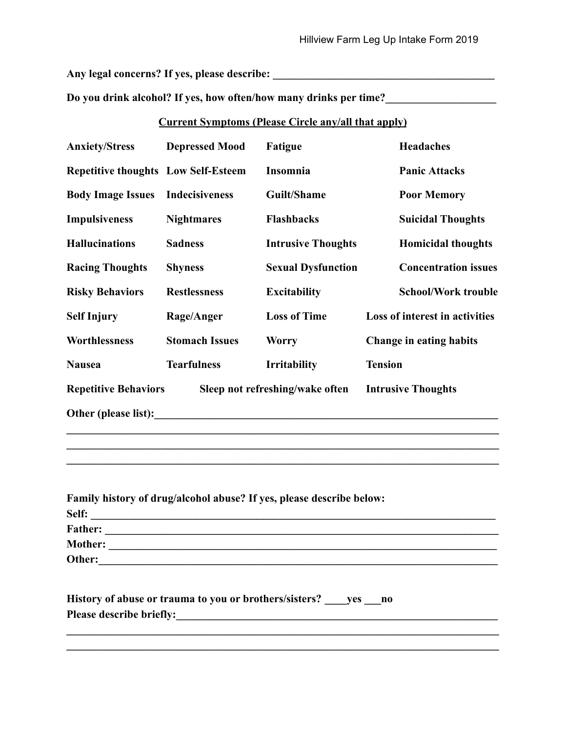**Any legal concerns? If yes, please describe: \_\_\_\_\_\_\_\_\_\_\_\_\_\_\_\_\_\_\_\_\_\_\_\_\_\_\_\_\_\_\_\_\_\_\_\_\_\_\_\_**

**Do you drink alcohol? If yes, how often/how many drinks per time?\_\_\_\_\_\_\_\_\_\_\_\_\_\_\_\_\_\_\_\_**

## **Current Symptoms (Please Circle any/all that apply)**

| <b>Anxiety/Stress</b>                      | <b>Depressed Mood</b> | Fatigue                         | <b>Headaches</b>               |
|--------------------------------------------|-----------------------|---------------------------------|--------------------------------|
| <b>Repetitive thoughts Low Self-Esteem</b> |                       | Insomnia                        | <b>Panic Attacks</b>           |
| <b>Body Image Issues</b>                   | <b>Indecisiveness</b> | Guilt/Shame                     | <b>Poor Memory</b>             |
| <b>Impulsiveness</b>                       | <b>Nightmares</b>     | <b>Flashbacks</b>               | <b>Suicidal Thoughts</b>       |
| <b>Hallucinations</b>                      | <b>Sadness</b>        | <b>Intrusive Thoughts</b>       | <b>Homicidal thoughts</b>      |
| <b>Racing Thoughts</b>                     | <b>Shyness</b>        | <b>Sexual Dysfunction</b>       | <b>Concentration issues</b>    |
| <b>Risky Behaviors</b>                     | <b>Restlessness</b>   | <b>Excitability</b>             | <b>School/Work trouble</b>     |
| <b>Self Injury</b>                         | Rage/Anger            | <b>Loss of Time</b>             | Loss of interest in activities |
| Worthlessness                              | <b>Stomach Issues</b> | <b>Worry</b>                    | <b>Change in eating habits</b> |
| <b>Nausea</b>                              | <b>Tearfulness</b>    | <b>Irritability</b>             | <b>Tension</b>                 |
| <b>Repetitive Behaviors</b>                |                       | Sleep not refreshing/wake often | <b>Intrusive Thoughts</b>      |
| Other (please list):                       |                       |                                 |                                |

| Family history of drug/alcohol abuse? If yes, please describe below: |  |
|----------------------------------------------------------------------|--|
|                                                                      |  |
|                                                                      |  |
|                                                                      |  |
| Other:                                                               |  |
|                                                                      |  |
| History of abuse or trauma to you or brothers/sisters? yes no        |  |
| <b>Please describe briefly:</b>                                      |  |

 $\mathcal{L}_\mathcal{L} = \{ \mathcal{L}_\mathcal{L} = \{ \mathcal{L}_\mathcal{L} = \{ \mathcal{L}_\mathcal{L} = \{ \mathcal{L}_\mathcal{L} = \{ \mathcal{L}_\mathcal{L} = \{ \mathcal{L}_\mathcal{L} = \{ \mathcal{L}_\mathcal{L} = \{ \mathcal{L}_\mathcal{L} = \{ \mathcal{L}_\mathcal{L} = \{ \mathcal{L}_\mathcal{L} = \{ \mathcal{L}_\mathcal{L} = \{ \mathcal{L}_\mathcal{L} = \{ \mathcal{L}_\mathcal{L} = \{ \mathcal{L}_\mathcal{$  $\mathcal{L}_\mathcal{L} = \{ \mathcal{L}_\mathcal{L} = \{ \mathcal{L}_\mathcal{L} = \{ \mathcal{L}_\mathcal{L} = \{ \mathcal{L}_\mathcal{L} = \{ \mathcal{L}_\mathcal{L} = \{ \mathcal{L}_\mathcal{L} = \{ \mathcal{L}_\mathcal{L} = \{ \mathcal{L}_\mathcal{L} = \{ \mathcal{L}_\mathcal{L} = \{ \mathcal{L}_\mathcal{L} = \{ \mathcal{L}_\mathcal{L} = \{ \mathcal{L}_\mathcal{L} = \{ \mathcal{L}_\mathcal{L} = \{ \mathcal{L}_\mathcal{$ 

 $\mathcal{L}_\mathcal{L} = \{ \mathcal{L}_\mathcal{L} = \{ \mathcal{L}_\mathcal{L} = \{ \mathcal{L}_\mathcal{L} = \{ \mathcal{L}_\mathcal{L} = \{ \mathcal{L}_\mathcal{L} = \{ \mathcal{L}_\mathcal{L} = \{ \mathcal{L}_\mathcal{L} = \{ \mathcal{L}_\mathcal{L} = \{ \mathcal{L}_\mathcal{L} = \{ \mathcal{L}_\mathcal{L} = \{ \mathcal{L}_\mathcal{L} = \{ \mathcal{L}_\mathcal{L} = \{ \mathcal{L}_\mathcal{L} = \{ \mathcal{L}_\mathcal{$  $\mathcal{L}_\mathcal{L} = \{ \mathcal{L}_\mathcal{L} = \{ \mathcal{L}_\mathcal{L} = \{ \mathcal{L}_\mathcal{L} = \{ \mathcal{L}_\mathcal{L} = \{ \mathcal{L}_\mathcal{L} = \{ \mathcal{L}_\mathcal{L} = \{ \mathcal{L}_\mathcal{L} = \{ \mathcal{L}_\mathcal{L} = \{ \mathcal{L}_\mathcal{L} = \{ \mathcal{L}_\mathcal{L} = \{ \mathcal{L}_\mathcal{L} = \{ \mathcal{L}_\mathcal{L} = \{ \mathcal{L}_\mathcal{L} = \{ \mathcal{L}_\mathcal{$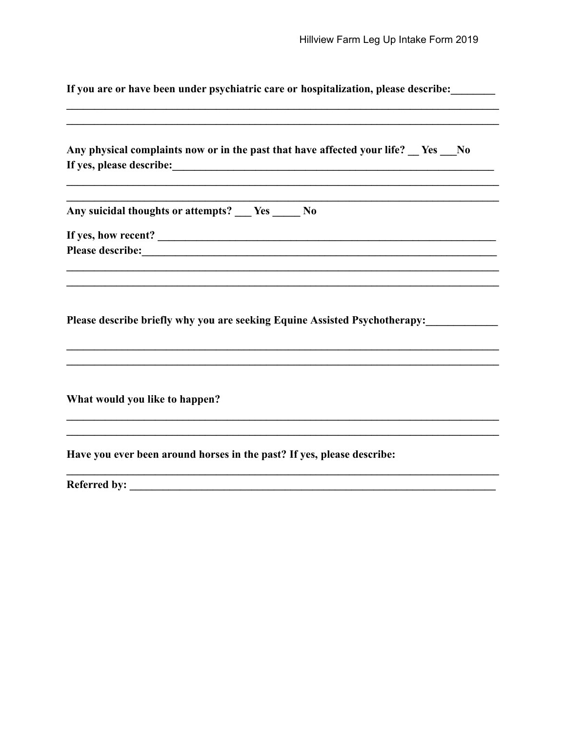If you are or have been under psychiatric care or hospitalization, please describe:

|                                                                        | Any physical complaints now or in the past that have affected your life? <u>Ses</u> No |
|------------------------------------------------------------------------|----------------------------------------------------------------------------------------|
|                                                                        |                                                                                        |
| Any suicidal thoughts or attempts? ___ Yes _____ No                    |                                                                                        |
|                                                                        |                                                                                        |
|                                                                        |                                                                                        |
|                                                                        |                                                                                        |
|                                                                        | Please describe briefly why you are seeking Equine Assisted Psychotherapy:             |
|                                                                        |                                                                                        |
|                                                                        |                                                                                        |
|                                                                        |                                                                                        |
| What would you like to happen?                                         |                                                                                        |
|                                                                        |                                                                                        |
| Have you ever been around horses in the past? If yes, please describe: |                                                                                        |
|                                                                        |                                                                                        |
|                                                                        |                                                                                        |
|                                                                        |                                                                                        |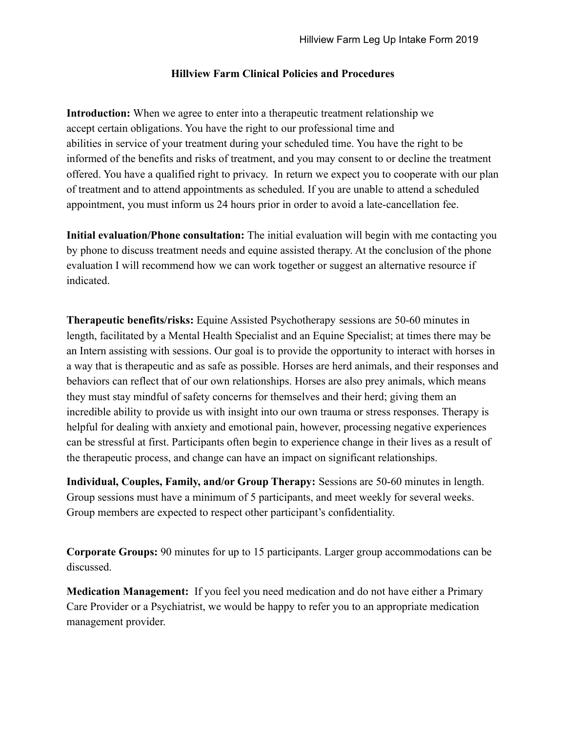## **Hillview Farm Clinical Policies and Procedures**

**Introduction:** When we agree to enter into a therapeutic treatment relationship we accept certain obligations. You have the right to our professional time and abilities in service of your treatment during your scheduled time. You have the right to be informed of the benefits and risks of treatment, and you may consent to or decline the treatment offered. You have a qualified right to privacy. In return we expect you to cooperate with our plan of treatment and to attend appointments as scheduled. If you are unable to attend a scheduled appointment, you must inform us 24 hours prior in order to avoid a late-cancellation fee.

**Initial evaluation/Phone consultation:** The initial evaluation will begin with me contacting you by phone to discuss treatment needs and equine assisted therapy. At the conclusion of the phone evaluation I will recommend how we can work together or suggest an alternative resource if indicated.

**Therapeutic benefits/risks:** Equine Assisted Psychotherapy sessions are 50-60 minutes in length, facilitated by a Mental Health Specialist and an Equine Specialist; at times there may be an Intern assisting with sessions. Our goal is to provide the opportunity to interact with horses in a way that is therapeutic and as safe as possible. Horses are herd animals, and their responses and behaviors can reflect that of our own relationships. Horses are also prey animals, which means they must stay mindful of safety concerns for themselves and their herd; giving them an incredible ability to provide us with insight into our own trauma or stress responses. Therapy is helpful for dealing with anxiety and emotional pain, however, processing negative experiences can be stressful at first. Participants often begin to experience change in their lives as a result of the therapeutic process, and change can have an impact on significant relationships.

**Individual, Couples, Family, and/or Group Therapy:** Sessions are 50-60 minutes in length. Group sessions must have a minimum of 5 participants, and meet weekly for several weeks. Group members are expected to respect other participant's confidentiality.

**Corporate Groups:** 90 minutes for up to 15 participants. Larger group accommodations can be discussed.

**Medication Management:** If you feel you need medication and do not have either a Primary Care Provider or a Psychiatrist, we would be happy to refer you to an appropriate medication management provider.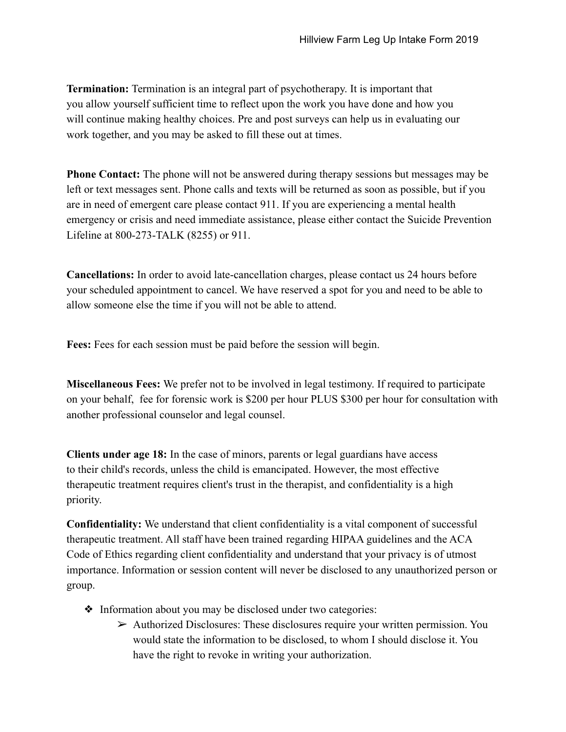**Termination:** Termination is an integral part of psychotherapy. It is important that you allow yourself sufficient time to reflect upon the work you have done and how you will continue making healthy choices. Pre and post surveys can help us in evaluating our work together, and you may be asked to fill these out at times.

**Phone Contact:** The phone will not be answered during therapy sessions but messages may be left or text messages sent. Phone calls and texts will be returned as soon as possible, but if you are in need of emergent care please contact 911. If you are experiencing a mental health emergency or crisis and need immediate assistance, please either contact the Suicide Prevention Lifeline at 800-273-TALK (8255) or 911.

**Cancellations:** In order to avoid late-cancellation charges, please contact us 24 hours before your scheduled appointment to cancel. We have reserved a spot for you and need to be able to allow someone else the time if you will not be able to attend.

**Fees:** Fees for each session must be paid before the session will begin.

**Miscellaneous Fees:** We prefer not to be involved in legal testimony. If required to participate on your behalf, fee for forensic work is \$200 per hour PLUS \$300 per hour for consultation with another professional counselor and legal counsel.

**Clients under age 18:** In the case of minors, parents or legal guardians have access to their child's records, unless the child is emancipated. However, the most effective therapeutic treatment requires client's trust in the therapist, and confidentiality is a high priority.

**Confidentiality:** We understand that client confidentiality is a vital component of successful therapeutic treatment. All staff have been trained regarding HIPAA guidelines and the ACA Code of Ethics regarding client confidentiality and understand that your privacy is of utmost importance. Information or session content will never be disclosed to any unauthorized person or group.

- ❖ Information about you may be disclosed under two categories:
	- $\triangleright$  Authorized Disclosures: These disclosures require your written permission. You would state the information to be disclosed, to whom I should disclose it. You have the right to revoke in writing your authorization.